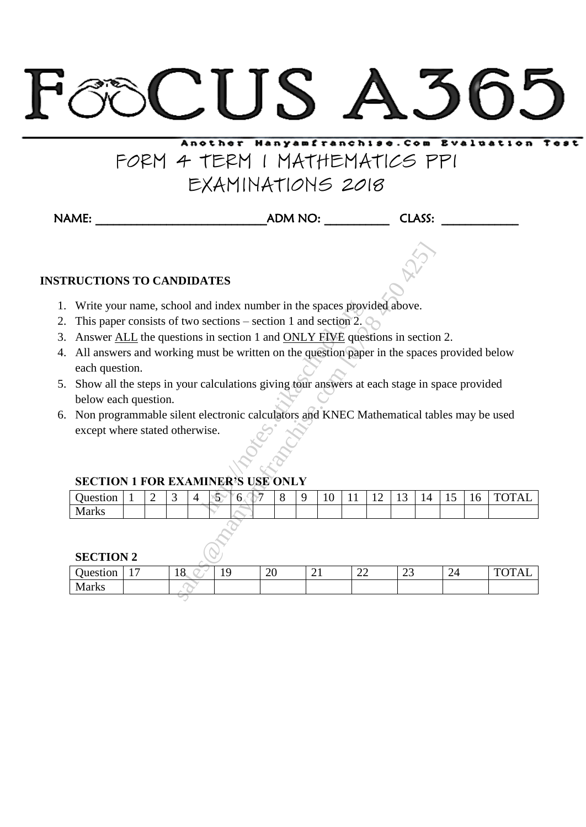# CUS A36

# Another Hanyamfranchise. Com Evaluation FORM 4 TERM 1 MATHEMATICS PP1 EXAMINATIONS 2018

NAME: \_\_\_\_\_\_\_\_\_\_\_\_\_\_\_\_\_\_\_\_\_\_\_\_\_\_\_\_\_ADM NO: \_\_\_\_\_\_\_\_\_\_\_ CLASS: \_\_\_\_\_\_\_\_\_\_\_\_\_

# **INSTRUCTIONS TO CANDIDATES**

- 1. Write your name, school and index number in the spaces provided above.
- 2. This paper consists of two sections section 1 and section 2.
- 3. Answer ALL the questions in section 1 and ONLY FIVE questions in section 2.
- 4. All answers and working must be written on the question paper in the spaces provided below each question.
- 5. Show all the steps in your calculations giving tour answers at each stage in space provided below each question. nd index number in the spaces proves sections – section 1 and section 2.<br>
is in section 1 and <u>ONLY FIVE</u> quese must be written on the question paper<br>
calculations giving tour answers at<br>
electronic calculators and KNEC M<br>
- 6. Non programmable silent electronic calculators and KNEC Mathematical tables may be used except where stated otherwise.

## **SECTION 1 FOR EXAMINER'S USE ONLY**

| Juest<br>:stıon | - | ັ |  | h<br>v |  | $\sqrt{2}$<br>.,<br>- | --- | . . | $\prime$<br><b>.</b> | -<br>∸ | . . | $T$ $\cap$ $\cap$ $\cap$ $\cup$ $\top$<br>А<br>∼ |
|-----------------|---|---|--|--------|--|-----------------------|-----|-----|----------------------|--------|-----|--------------------------------------------------|
| ۰л<br>---       |   |   |  |        |  |                       |     |     |                      |        |     |                                                  |

#### **SECTION 2**

| <b>RUCTIONS TO CANDIDATES</b>                                                               |                                                                                                                                            |   |    |                |    |    |    |   |   |    |    |    |    |    |    |    |              |
|---------------------------------------------------------------------------------------------|--------------------------------------------------------------------------------------------------------------------------------------------|---|----|----------------|----|----|----|---|---|----|----|----|----|----|----|----|--------------|
|                                                                                             |                                                                                                                                            |   |    |                |    |    |    |   |   |    |    |    |    |    |    |    |              |
|                                                                                             | Write your name, school and index number in the spaces provided above.<br>This paper consists of two sections $-$ section 1 and section 2. |   |    |                |    |    |    |   |   |    |    |    |    |    |    |    |              |
| Answer ALL the questions in section 1 and ONLY FIVE questions in section 2.                 |                                                                                                                                            |   |    |                |    |    |    |   |   |    |    |    |    |    |    |    |              |
| All answers and working must be written on the question paper in the spaces provided below  |                                                                                                                                            |   |    |                |    |    |    |   |   |    |    |    |    |    |    |    |              |
| each question.                                                                              |                                                                                                                                            |   |    |                |    |    |    |   |   |    |    |    |    |    |    |    |              |
| Show all the steps in your calculations giving tour answers at each stage in space provided |                                                                                                                                            |   |    |                |    |    |    |   |   |    |    |    |    |    |    |    |              |
| below each question.                                                                        |                                                                                                                                            |   |    |                |    |    |    |   |   |    |    |    |    |    |    |    |              |
|                                                                                             |                                                                                                                                            |   |    |                |    |    |    |   |   |    |    |    |    |    |    |    |              |
|                                                                                             | Non programmable silent electronic calculators and KNEC Mathematical tables may be used<br>except where stated otherwise.                  |   |    |                |    |    |    |   |   |    |    |    |    |    |    |    |              |
| <b>SECTION 1 FOR EXAMINER'S USE ONLY</b>                                                    |                                                                                                                                            |   |    |                |    |    |    |   |   |    |    |    |    |    |    |    |              |
| Question                                                                                    |                                                                                                                                            | 2 | 3  | $\overline{4}$ | 5  | 6. |    | 8 | 9 | 10 | 11 | 12 | 13 | 14 | 15 | 16 | <b>TOTAL</b> |
| <b>Marks</b>                                                                                |                                                                                                                                            |   |    |                |    |    |    |   |   |    |    |    |    |    |    |    |              |
| <b>SECTION 2</b>                                                                            |                                                                                                                                            |   |    |                |    |    |    |   |   |    |    |    |    |    |    |    |              |
| Question                                                                                    | 17                                                                                                                                         |   | 18 |                | 19 |    | 20 |   |   | 21 | 22 |    | 23 |    | 24 |    | <b>TOTAL</b> |
| <b>Marks</b>                                                                                |                                                                                                                                            |   |    |                |    |    |    |   |   |    |    |    |    |    |    |    |              |
|                                                                                             |                                                                                                                                            |   |    |                |    |    |    |   |   |    |    |    |    |    |    |    |              |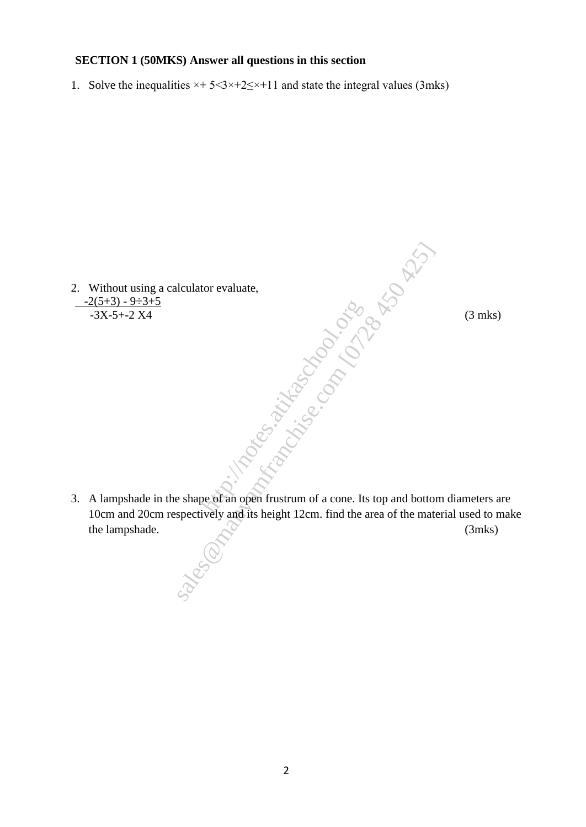#### **SECTION 1 (50MKS) Answer all questions in this section**

1. Solve the inequalities  $\times + 5 < 3 \times +2 \le \times +11$  and state the integral values (3mks)

2. Without using a calculator evaluate,  $\frac{-2(5+3) - 9 \div 3 + 5}{-3X - 5 + -2 X4}$  $-3X-5+2X4$  (3 mks)

3. A lampshade in the shape of an open frustrum of a cone. Its top and bottom diameters are 10cm and 20cm respectively and its height 12cm. find the area of the material used to make the lampshade. (3mks)  $\frac{1}{2}$ <br>
http://notes.atikas.atikas.atikas.atikas.atikas.atikas.atikas.atikas.atikas.atikas.atikas.atikas.atikas.atikas.atikas.atikas.atikas.atikas.atikas.atikas.atikas.atikas.atikas.atikas.atikas.atikas.atikas.atikas.a shape of an open frustrum of a cone. Its top and bottochectively and its height 12cm. find the area of the mate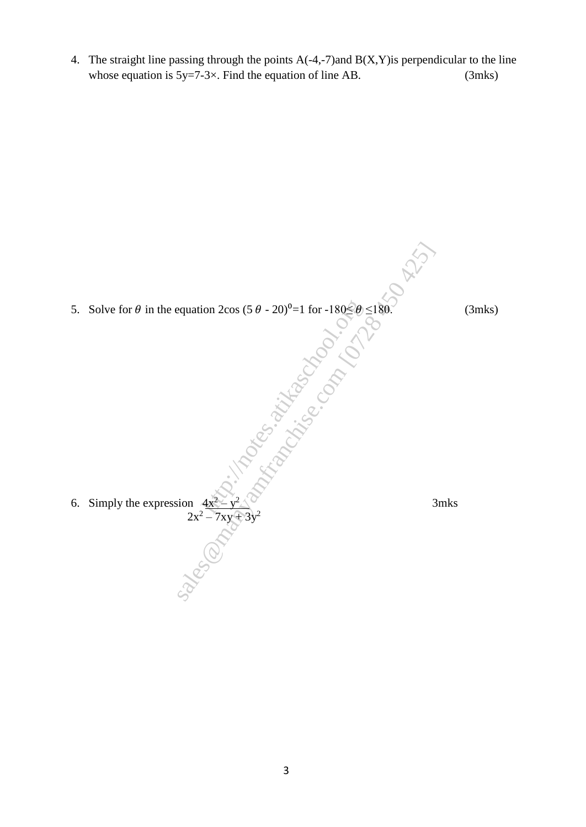4. The straight line passing through the points A(-4,-7)and B(X,Y)is perpendicular to the line whose equation is  $5y=7-3\times$ . Find the equation of line AB. (3mks)

5. Solve for  $\theta$  in the equation 2cos (5  $\theta$  - 20)<sup>0</sup>=1 for -180 $\leq \theta \leq$ 180. (3mks) 6. Simply the expression  $4x^2$  $\perp$  y 2 3mks  $2x^2 - 7xy + 3y^2$ – 7xy + 3y http://notes.atikaschool.org squation  $2\cos(5\theta - 20)^{\theta} = 1$  for  $-180\frac{\epsilon}{\sqrt{6}}\theta \le 180$ .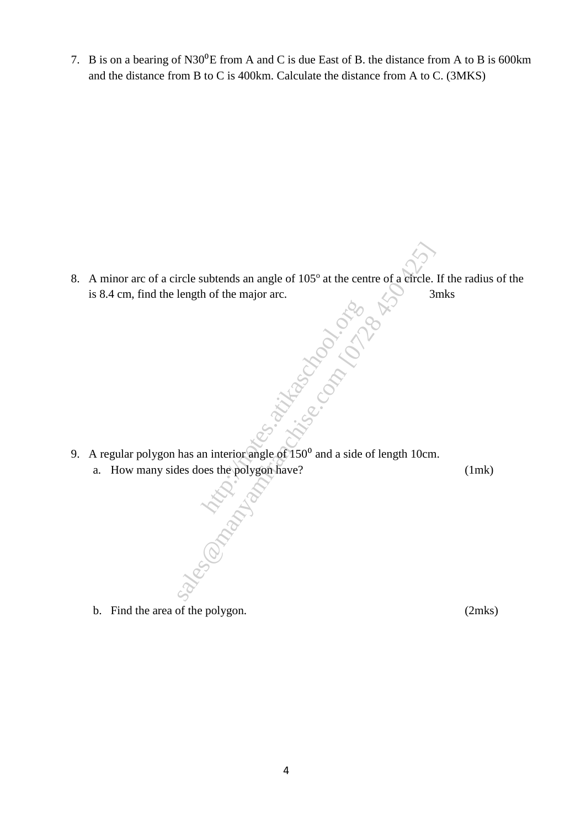7. B is on a bearing of N30<sup>o</sup>E from A and C is due East of B. the distance from A to B is 600km and the distance from B to C is 400km. Calculate the distance from A to C. (3MKS)

- 8. A minor arc of a circle subtends an angle of 105<sup>°</sup> at the centre of a circle. If the radius of the is 8.4 cm, find the length of the major arc. 3mks First explicit of the major arc.<br>
length of the major arc.<br>
length of the major arc.<br>  $\frac{1}{3}$ .<br>
So the polygon have?<br>
has an interior angle of 150<sup>0</sup> and a side of length 10cm<br>
les does the polygon have?<br>  $\frac{1}{3}$ .
- 9. A regular polygon has an interior angle of  $150<sup>0</sup>$  and a side of length 10cm. http://www.com/solid<br>http://www.com/solid<br>pes the polygon have?<br>com/solid a side of 150<sup>0</sup> and a side of 150<sup>0</sup> and a side of 150<sup>0</sup> and a side of 150<sup>0</sup> and a side of 150<sup>0</sup> and a side of 150<sup>0</sup> and a side of 150<sup>0</sup> and a
	- a. How many sides does the polygon have? (1mk)  $\bigotimes$

b. Find the area of the polygon. (2mks)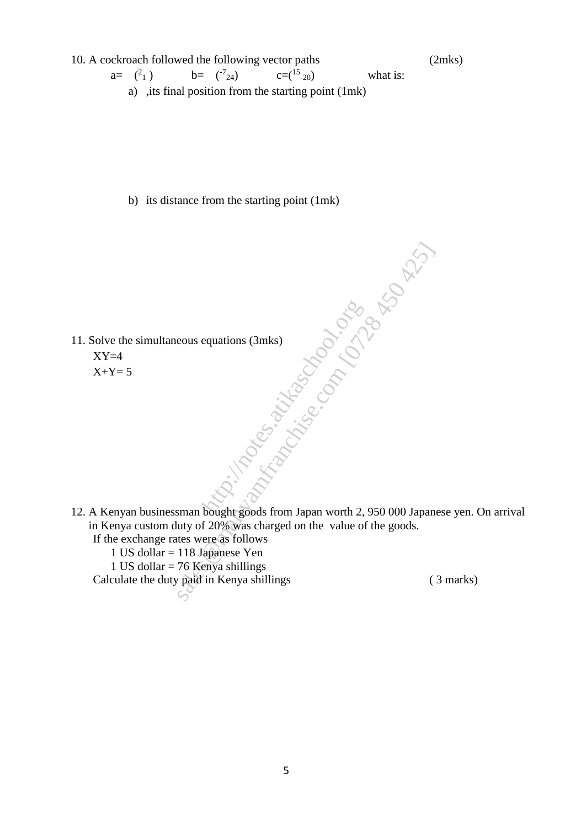10. A cockroach followed the following vector paths (2mks)  $a =$   $\binom{2}{x}$ 1)  $b=$   $({}^724)$   $c=({}^{15}$  $c=(15)$  what is: a) ,its final position from the starting point (1mk)

b) its distance from the starting point (1mk)

- 11. Solve the simultaneous equations (3mks)  $XY=4$ equations (3mks)<br>equations (3mks)<br>contractors.com<br>bought goods from Japan worth 2.
	- $X+Y=5$
- 12. A Kenyan businessman bought goods from Japan worth 2, 950 000 Japanese yen. On arrival in Kenya custom duty of 20% was charged on the value of the goods. sales equations (3mks)<br>
sales equations (3mks)<br>
sales equations (3mks)<br>
sales were as follows<br>
sales were as follows<br>
16 Mapanese Yen<br>
176 Kenya shillings<br>
paid in Kenya shillings<br>
Compares of the goods.<br>
(2028 Was charge
	- If the exchange rates were as follows
		- 1 US dollar = 118 Japanese Yen
		- 1 US dollar  $= 76$  Kenya shillings

Calculate the duty paid in Kenya shillings (3 marks)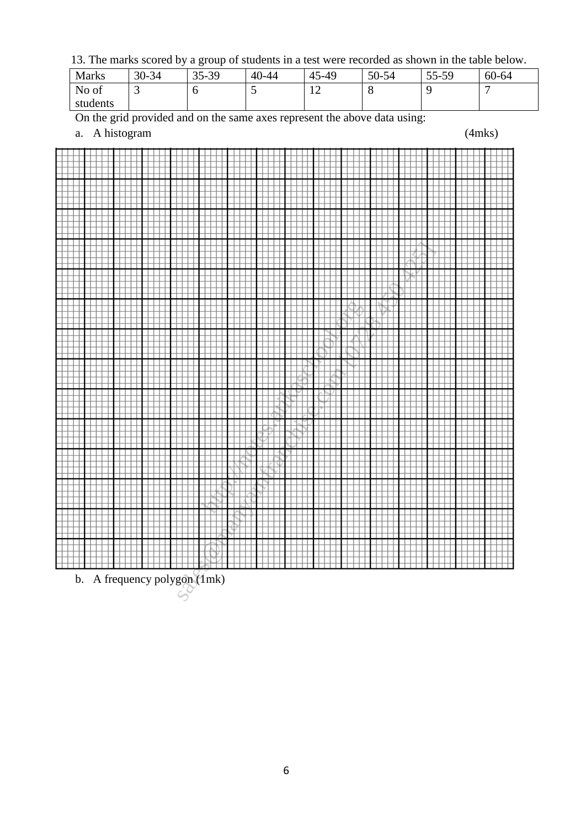13. The marks scored by a group of students in a test were recorded as shown in the table below.

| <b>Marks</b> | 30-34 | 35-39 | 40-44 | 45<br>5-49                                 | 50-54 | 55-59 | 60-64 |
|--------------|-------|-------|-------|--------------------------------------------|-------|-------|-------|
| No of        | ັ     |       | ~     | 1 <sub>0</sub><br>$\overline{\phantom{0}}$ | O     |       | −     |
| students     |       |       |       |                                            |       |       |       |

On the grid provided and on the same axes represent the above data using:

a. A histogram (4mks)



b. A frequency polygon (1mk)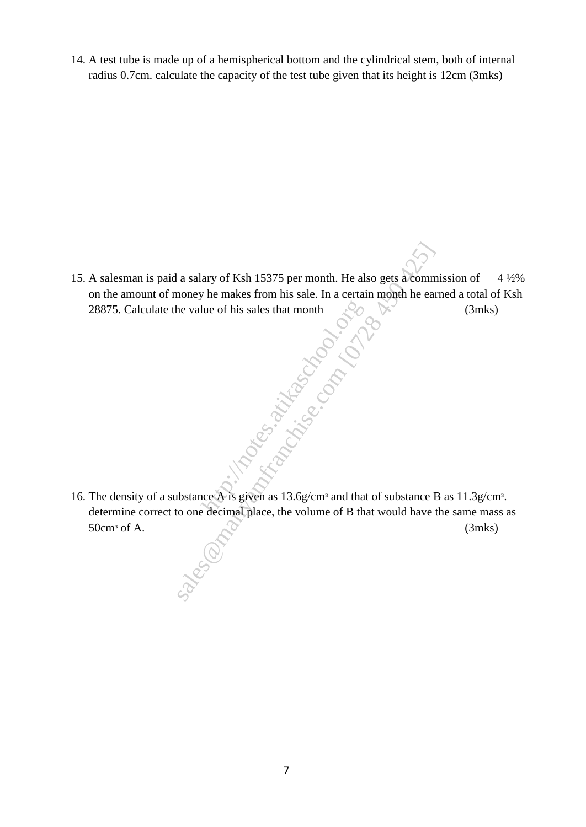14. A test tube is made up of a hemispherical bottom and the cylindrical stem, both of internal radius 0.7cm. calculate the capacity of the test tube given that its height is 12cm (3mks)

- 15. A salesman is paid a salary of Ksh 15375 per month. He also gets a commission of  $4\frac{1}{2}\%$ on the amount of money he makes from his sale. In a certain month he earned a total of Ksh 28875. Calculate the value of his sales that month  $\mathcal{P}$  (3mks) (3mks) Example 18 a salary of Ksh 15375 per month. He also gets a communely he makes from his sale. In a certain month he ear<br>
he value of his sales that month<br>
the value of his sales that month<br>  $\sim$ <br>  $\sim$ <br>  $\sim$ <br>  $\sim$ <br>  $\sim$ <br>  $\$
- 16. The density of a substance A is given as 13.6g/cm<sup>3</sup> and that of substance B as 11.3g/cm<sup>3</sup>. determine correct to one decimal place, the volume of B that would have the same mass as  $50 \text{cm}^3 \text{ of A.}$  (3mks) http://notes.atikas.com/notes.atikas.com/notes.atikas.com/notes.atikas.com/notes.atikas.com/notes.atikas.com/notes.atikas.com/notes.atikas.com/notes.atikas.com/notes.atikas.com/notes.atikas.com/notes.atikas.com/notes.atika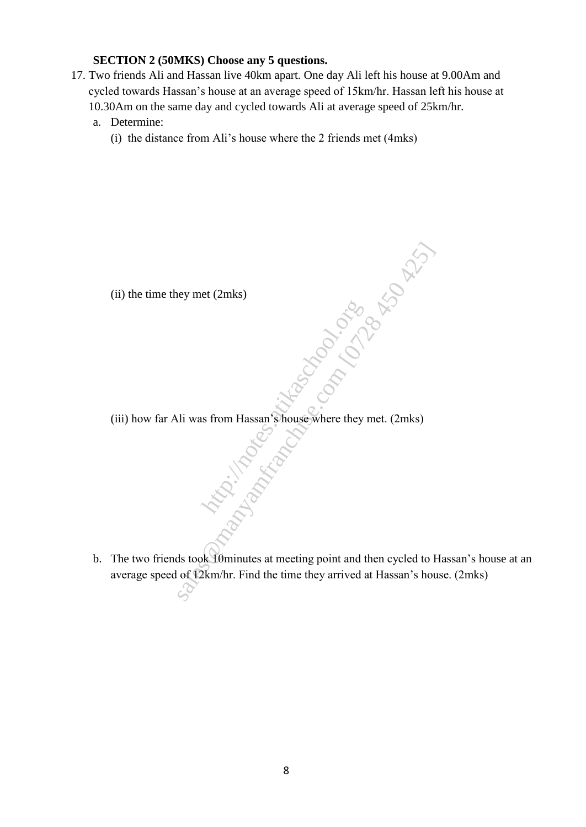### **SECTION 2 (50MKS) Choose any 5 questions.**

- 17. Two friends Ali and Hassan live 40km apart. One day Ali left his house at 9.00Am and cycled towards Hassan's house at an average speed of 15km/hr. Hassan left his house at 10.30Am on the same day and cycled towards Ali at average speed of 25km/hr.
	- a. Determine:
		- (i) the distance from Ali's house where the 2 friends met (4mks)

- (ii) the time they met (2mks)
- (iii) how far Ali was from Hassan's house where they met. (2mks) . Maple Construction sicological Riberton
- b. The two friends took 10minutes at meeting point and then cycled to Hassan's house at an average speed of 12km/hr. Find the time they arrived at Hassan's house. (2mks)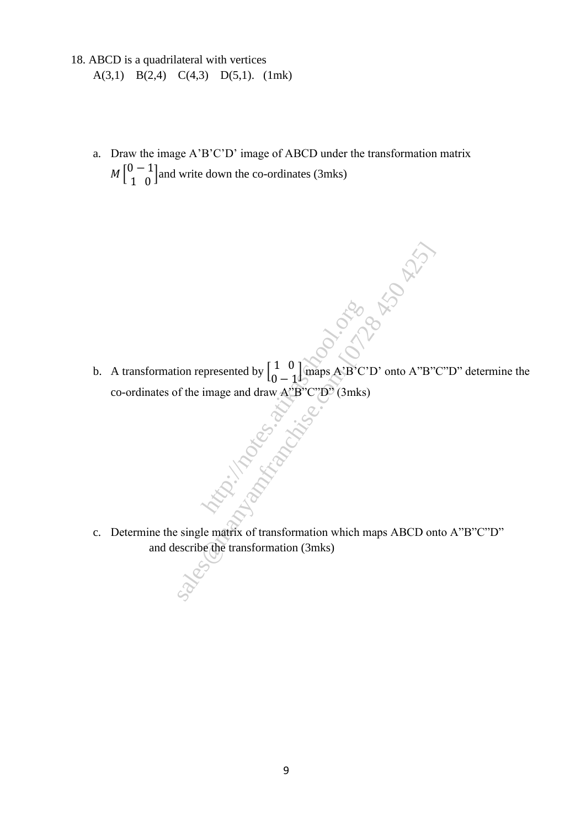- 18. ABCD is a quadrilateral with vertices A(3,1) B(2,4) C(4,3) D(5,1). (1mk)
	- a. Draw the image A'B'C'D' image of ABCD under the transformation matrix  $M\begin{bmatrix} 0 & -1 \\ 1 & 0 \end{bmatrix}$  $\begin{bmatrix} 1 & 0 \\ 1 & 0 \end{bmatrix}$  and write down the co-ordinates (3mks)
	- b. A transformation represented by  $\begin{bmatrix} 1 & 0 \\ 0 & 1 \end{bmatrix}$  $\frac{1}{0}$  maps A'B'C'D' onto A''B''C''D'' determine the co-ordinates of the image and draw A"B"C"D" (3mks) http://notes.atikaschool.org **sales Cristian Riverside**
	- c. Determine the single matrix of transformation which maps ABCD onto A"B"C"D" and describe the transformation (3mks)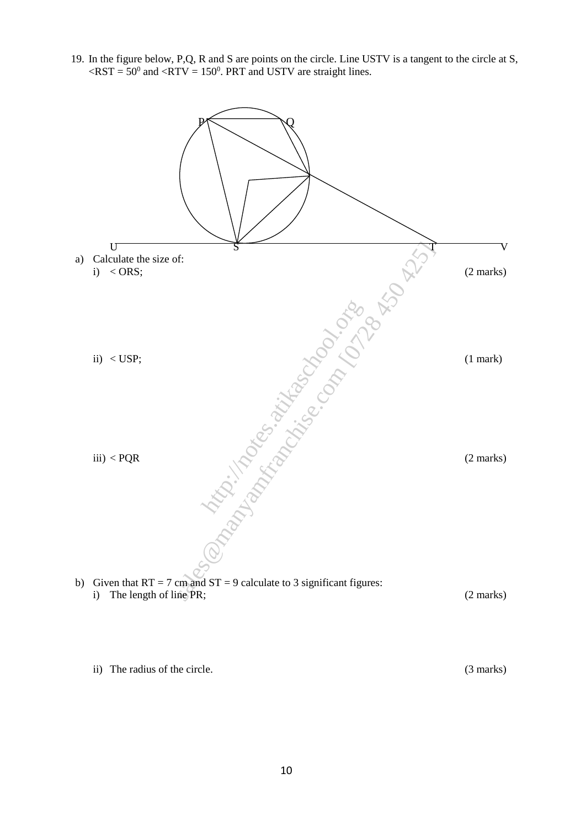19. In the figure below, P,Q, R and S are points on the circle. Line USTV is a tangent to the circle at S,  $\langle RST = 50^{\circ}$  and  $\langle RTV = 150^{\circ}$ . PRT and USTV are straight lines.



ii) The radius of the circle. (3 marks)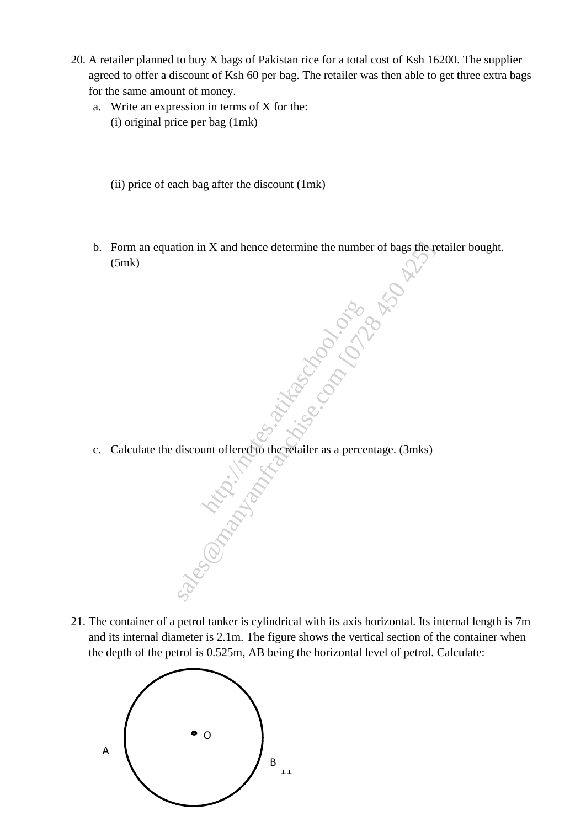- 20. A retailer planned to buy X bags of Pakistan rice for a total cost of Ksh 16200. The supplier agreed to offer a discount of Ksh 60 per bag. The retailer was then able to get three extra bags for the same amount of money.
	- a. Write an expression in terms of X for the: (i) original price per bag (1mk)
		- (ii) price of each bag after the discount (1mk)
	- b. Form an equation in X and hence determine the number of bags the retailer bought. (5mk) stion in X and hence determine the number of bags there  $\frac{1}{2}$ <br>sales com  $\frac{1}{2}$ <br>discount offered to the relation as a percentage. (3mks)
	- c. Calculate the discount offered to the retailer as a percentage. (3mks) http://notes.atikaschool.org/notes.atikaschool.org/notes.atikaschool.org/notes.atikaschool.org/notes.atikaschool.org/notes.atikaschool.org/notes.atikaschool.org/notes.atikaschool.org/notes.atikaschool.org/notes.atikaschool
- 21. The container of a petrol tanker is cylindrical with its axis horizontal. Its internal length is 7m and its internal diameter is 2.1m. The figure shows the vertical section of the container when the depth of the petrol is 0.525m, AB being the horizontal level of petrol. Calculate:

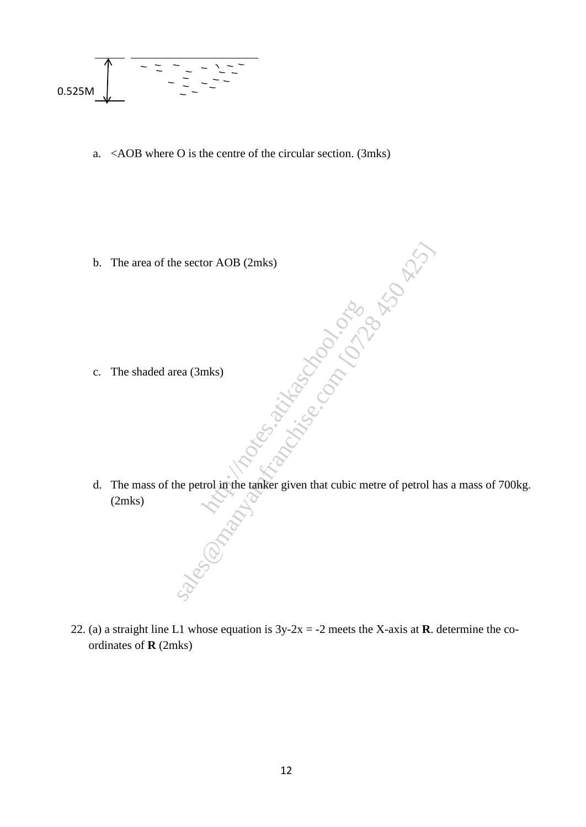0.525M\n
$$
0.525M
$$

a. <AOB where O is the centre of the circular section. (3mks)

b. The area of the sector AOB (2mks)

- c. The shaded area (3mks)
- d. The mass of the petrol in the tanker given that cubic metre of petrol has a mass of 700kg. (2mks) mks)<br>
mks)<br>
trol in the tanker given that cubic m e sector AOB (2mks)<br>ea (3mks)<br>ea (3mks)<br>ea (3mks)<br>ea (3mks)<br>ea (3mks)<br>ea (3mks)<br>ea (3mks)<br>ea (3mks)<br>ea (3mks)<br>ea (3mks)<br>ea (3mks)<br>ea (3mks)<br>ea (3mks)<br>ea (3mks)<br>ea (3mks)<br>ea (3mks)<br>ea (3mks)<br>ea (3mks)<br>ea (3mks)<br>ea (3mks)<br>e
- 22. (a) a straight line L1 whose equation is  $3y-2x = -2$  meets the X-axis at **R**. determine the coordinates of **R** (2mks)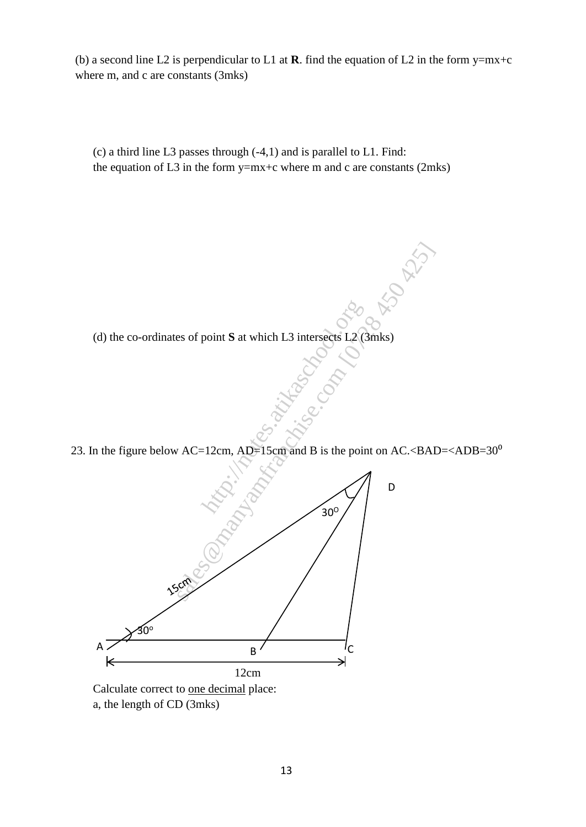(b) a second line L2 is perpendicular to L1 at **R**. find the equation of L2 in the form  $y=mx+c$ where m, and c are constants (3mks)

(c) a third line L3 passes through (-4,1) and is parallel to L1. Find: the equation of L3 in the form  $y=mx+c$  where m and c are constants (2mks)

(d) the co-ordinates of point **S** at which L3 intersects L2 (3mks)

23. In the figure below  $AC=12cm$ ,  $AD=15cm$  and B is the point on  $AC.**BAD=<**ADB=30<sup>o</sup>$ 



a, the length of CD (3mks)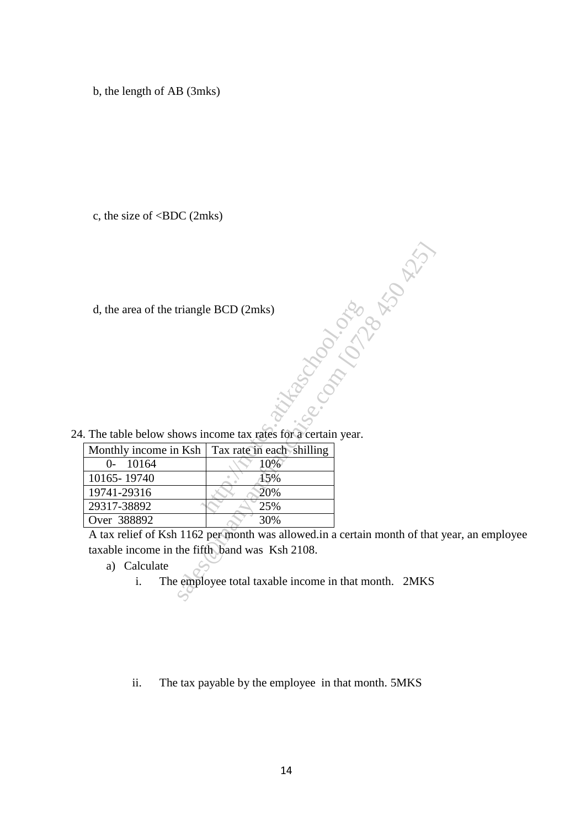b, the length of AB (3mks)

c, the size of <BDC (2mks)

|  | 24. The table below shows income tax rates for a certain year. |  |  |  |  |  |  |  |  |  |
|--|----------------------------------------------------------------|--|--|--|--|--|--|--|--|--|
|--|----------------------------------------------------------------|--|--|--|--|--|--|--|--|--|

| d, the area of the triangle BCD (2mks)         |                                                                           |
|------------------------------------------------|---------------------------------------------------------------------------|
|                                                |                                                                           |
|                                                | <b>Fanconico</b>                                                          |
|                                                |                                                                           |
|                                                |                                                                           |
|                                                |                                                                           |
|                                                | . The table below shows income tax rates for a certain year.              |
|                                                |                                                                           |
| Monthly income in Ksh                          | Tax rate in each shilling                                                 |
| 10164<br>$0-$                                  | 10%                                                                       |
| 10165-19740                                    | 15%                                                                       |
| 19741-29316                                    | 20%                                                                       |
| 29317-38892                                    | 25%                                                                       |
| Over 388892                                    | 30%                                                                       |
|                                                | A tax relief of Ksh 1162 per month was allowed in a certain month of that |
| taxable income in the fifth band was Ksh 2108. |                                                                           |
| a) Calculate                                   |                                                                           |
| i.                                             | The employee total taxable income in that month. 2MKS                     |
|                                                |                                                                           |
|                                                |                                                                           |

A tax relief of Ksh 1162 per month was allowed.in a certain month of that year, an employee taxable income in the fifth band was Ksh 2108.

ii. The tax payable by the employee in that month. 5MKS